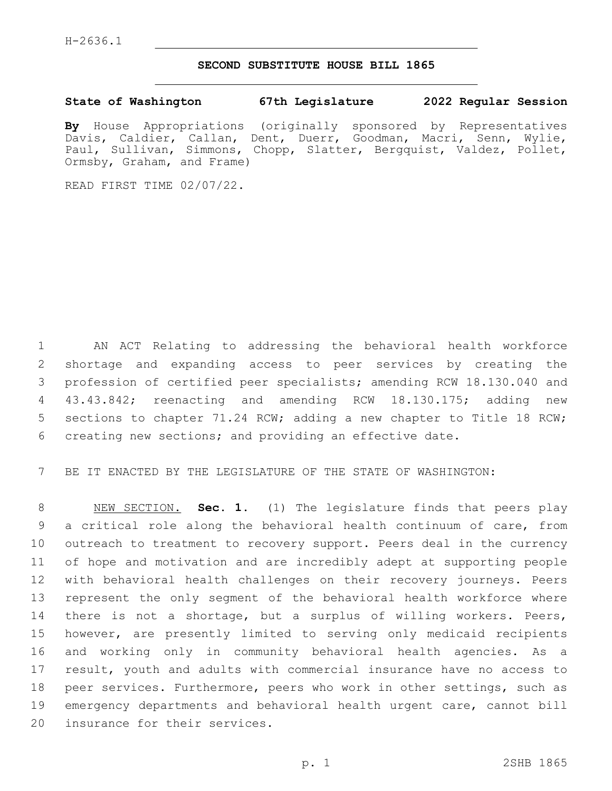## **SECOND SUBSTITUTE HOUSE BILL 1865**

**State of Washington 67th Legislature 2022 Regular Session**

**By** House Appropriations (originally sponsored by Representatives Davis, Caldier, Callan, Dent, Duerr, Goodman, Macri, Senn, Wylie, Paul, Sullivan, Simmons, Chopp, Slatter, Bergquist, Valdez, Pollet, Ormsby, Graham, and Frame)

READ FIRST TIME 02/07/22.

 AN ACT Relating to addressing the behavioral health workforce shortage and expanding access to peer services by creating the profession of certified peer specialists; amending RCW 18.130.040 and 43.43.842; reenacting and amending RCW 18.130.175; adding new sections to chapter 71.24 RCW; adding a new chapter to Title 18 RCW; creating new sections; and providing an effective date.

BE IT ENACTED BY THE LEGISLATURE OF THE STATE OF WASHINGTON:

 NEW SECTION. **Sec. 1.** (1) The legislature finds that peers play a critical role along the behavioral health continuum of care, from outreach to treatment to recovery support. Peers deal in the currency of hope and motivation and are incredibly adept at supporting people with behavioral health challenges on their recovery journeys. Peers represent the only segment of the behavioral health workforce where 14 there is not a shortage, but a surplus of willing workers. Peers, however, are presently limited to serving only medicaid recipients and working only in community behavioral health agencies. As a result, youth and adults with commercial insurance have no access to peer services. Furthermore, peers who work in other settings, such as emergency departments and behavioral health urgent care, cannot bill insurance for their services.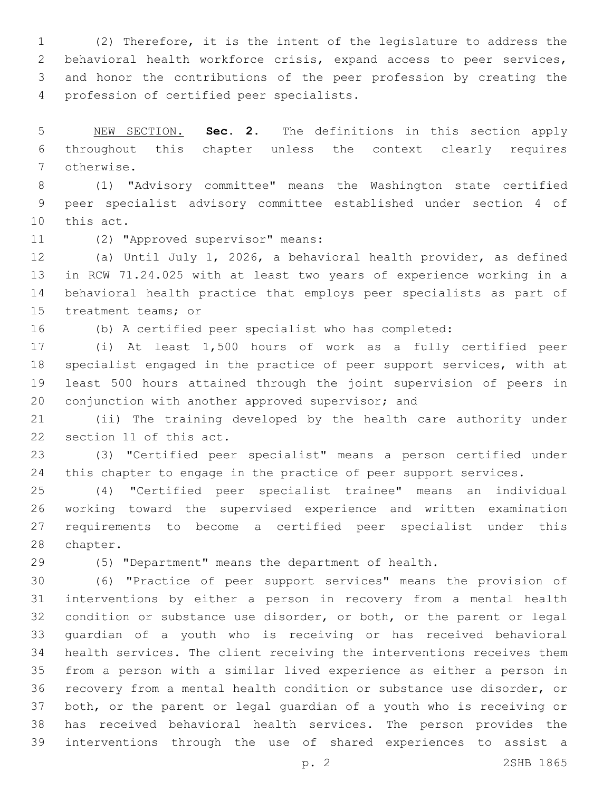(2) Therefore, it is the intent of the legislature to address the behavioral health workforce crisis, expand access to peer services, and honor the contributions of the peer profession by creating the 4 profession of certified peer specialists.

 NEW SECTION. **Sec. 2.** The definitions in this section apply throughout this chapter unless the context clearly requires otherwise.

 (1) "Advisory committee" means the Washington state certified peer specialist advisory committee established under section 4 of 10 this act.

11 (2) "Approved supervisor" means:

 (a) Until July 1, 2026, a behavioral health provider, as defined in RCW 71.24.025 with at least two years of experience working in a behavioral health practice that employs peer specialists as part of 15 treatment teams; or

(b) A certified peer specialist who has completed:

 (i) At least 1,500 hours of work as a fully certified peer specialist engaged in the practice of peer support services, with at least 500 hours attained through the joint supervision of peers in 20 conjunction with another approved supervisor; and

 (ii) The training developed by the health care authority under 22 section 11 of this act.

 (3) "Certified peer specialist" means a person certified under 24 this chapter to engage in the practice of peer support services.

 (4) "Certified peer specialist trainee" means an individual working toward the supervised experience and written examination requirements to become a certified peer specialist under this 28 chapter.

(5) "Department" means the department of health.

 (6) "Practice of peer support services" means the provision of interventions by either a person in recovery from a mental health condition or substance use disorder, or both, or the parent or legal guardian of a youth who is receiving or has received behavioral health services. The client receiving the interventions receives them from a person with a similar lived experience as either a person in recovery from a mental health condition or substance use disorder, or both, or the parent or legal guardian of a youth who is receiving or has received behavioral health services. The person provides the interventions through the use of shared experiences to assist a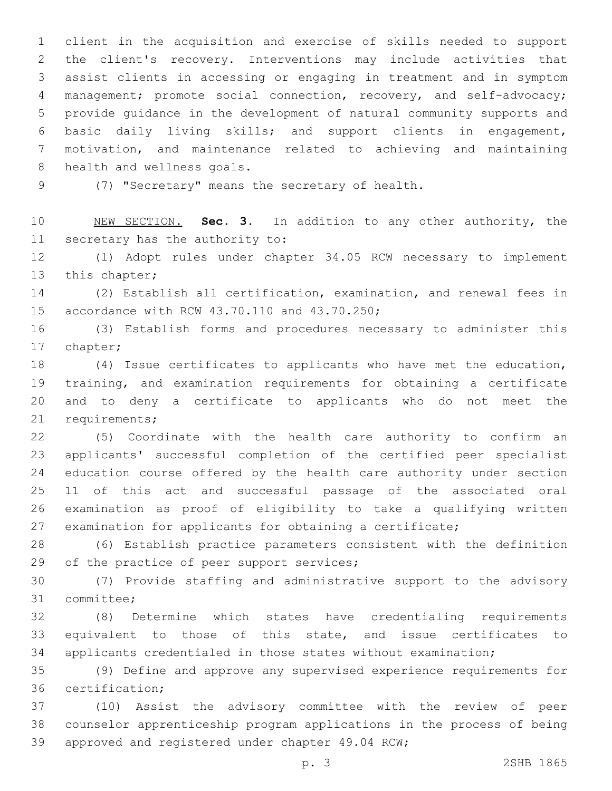client in the acquisition and exercise of skills needed to support the client's recovery. Interventions may include activities that assist clients in accessing or engaging in treatment and in symptom management; promote social connection, recovery, and self-advocacy; provide guidance in the development of natural community supports and basic daily living skills; and support clients in engagement, motivation, and maintenance related to achieving and maintaining 8 health and wellness goals.

9 (7) "Secretary" means the secretary of health.

 NEW SECTION. **Sec. 3.** In addition to any other authority, the secretary has the authority to:

 (1) Adopt rules under chapter 34.05 RCW necessary to implement 13 this chapter;

 (2) Establish all certification, examination, and renewal fees in 15 accordance with RCW 43.70.110 and 43.70.250;

 (3) Establish forms and procedures necessary to administer this 17 chapter;

 (4) Issue certificates to applicants who have met the education, training, and examination requirements for obtaining a certificate and to deny a certificate to applicants who do not meet the 21 requirements;

 (5) Coordinate with the health care authority to confirm an applicants' successful completion of the certified peer specialist education course offered by the health care authority under section 11 of this act and successful passage of the associated oral examination as proof of eligibility to take a qualifying written examination for applicants for obtaining a certificate;

 (6) Establish practice parameters consistent with the definition 29 of the practice of peer support services;

 (7) Provide staffing and administrative support to the advisory 31 committee;

 (8) Determine which states have credentialing requirements equivalent to those of this state, and issue certificates to applicants credentialed in those states without examination;

 (9) Define and approve any supervised experience requirements for 36 certification:

 (10) Assist the advisory committee with the review of peer counselor apprenticeship program applications in the process of being 39 approved and registered under chapter 49.04 RCW;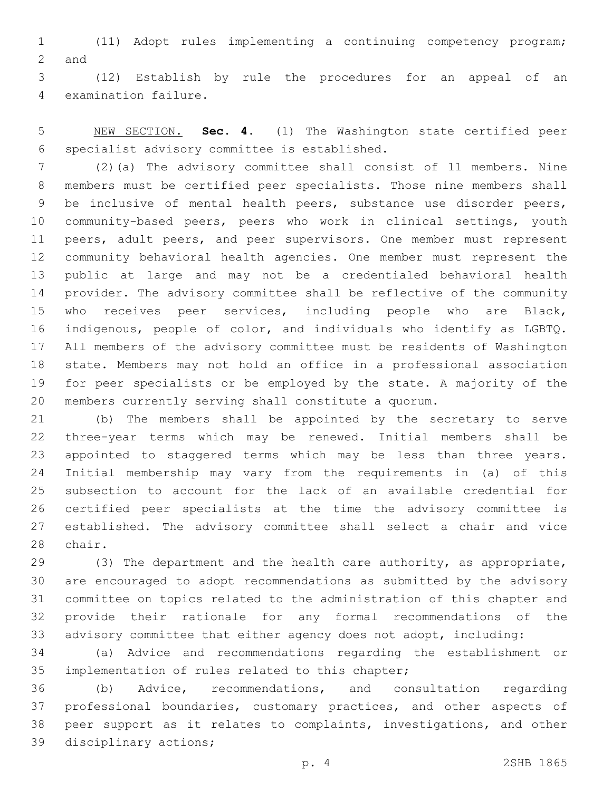(11) Adopt rules implementing a continuing competency program; 2 and

 (12) Establish by rule the procedures for an appeal of an 4 examination failure.

 NEW SECTION. **Sec. 4.** (1) The Washington state certified peer specialist advisory committee is established.

 (2)(a) The advisory committee shall consist of 11 members. Nine members must be certified peer specialists. Those nine members shall be inclusive of mental health peers, substance use disorder peers, community-based peers, peers who work in clinical settings, youth 11 peers, adult peers, and peer supervisors. One member must represent community behavioral health agencies. One member must represent the public at large and may not be a credentialed behavioral health provider. The advisory committee shall be reflective of the community who receives peer services, including people who are Black, indigenous, people of color, and individuals who identify as LGBTQ. All members of the advisory committee must be residents of Washington state. Members may not hold an office in a professional association for peer specialists or be employed by the state. A majority of the members currently serving shall constitute a quorum.

 (b) The members shall be appointed by the secretary to serve three-year terms which may be renewed. Initial members shall be appointed to staggered terms which may be less than three years. Initial membership may vary from the requirements in (a) of this subsection to account for the lack of an available credential for certified peer specialists at the time the advisory committee is established. The advisory committee shall select a chair and vice 28 chair.

 (3) The department and the health care authority, as appropriate, are encouraged to adopt recommendations as submitted by the advisory committee on topics related to the administration of this chapter and provide their rationale for any formal recommendations of the advisory committee that either agency does not adopt, including:

 (a) Advice and recommendations regarding the establishment or 35 implementation of rules related to this chapter;

 (b) Advice, recommendations, and consultation regarding professional boundaries, customary practices, and other aspects of peer support as it relates to complaints, investigations, and other 39 disciplinary actions;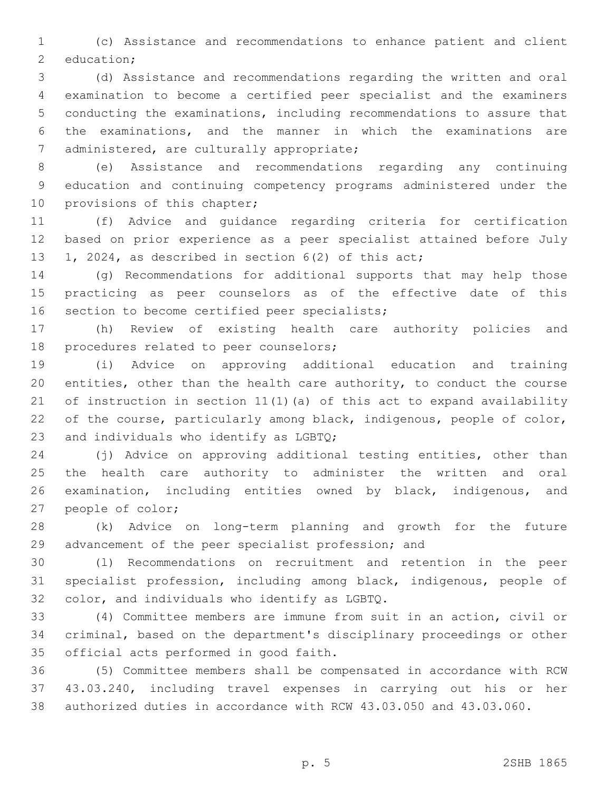(c) Assistance and recommendations to enhance patient and client 2 education;

 (d) Assistance and recommendations regarding the written and oral examination to become a certified peer specialist and the examiners conducting the examinations, including recommendations to assure that the examinations, and the manner in which the examinations are 7 administered, are culturally appropriate;

 (e) Assistance and recommendations regarding any continuing education and continuing competency programs administered under the 10 provisions of this chapter;

 (f) Advice and guidance regarding criteria for certification based on prior experience as a peer specialist attained before July 1, 2024, as described in section 6(2) of this act;

 (g) Recommendations for additional supports that may help those practicing as peer counselors as of the effective date of this 16 section to become certified peer specialists;

 (h) Review of existing health care authority policies and 18 procedures related to peer counselors;

 (i) Advice on approving additional education and training entities, other than the health care authority, to conduct the course of instruction in section 11(1)(a) of this act to expand availability 22 of the course, particularly among black, indigenous, people of color, 23 and individuals who identify as  $LGPQ$ ;

 (j) Advice on approving additional testing entities, other than the health care authority to administer the written and oral examination, including entities owned by black, indigenous, and 27 people of color;

 (k) Advice on long-term planning and growth for the future advancement of the peer specialist profession; and

 (l) Recommendations on recruitment and retention in the peer specialist profession, including among black, indigenous, people of 32 color, and individuals who identify as LGBTQ.

 (4) Committee members are immune from suit in an action, civil or criminal, based on the department's disciplinary proceedings or other 35 official acts performed in good faith.

 (5) Committee members shall be compensated in accordance with RCW 43.03.240, including travel expenses in carrying out his or her authorized duties in accordance with RCW 43.03.050 and 43.03.060.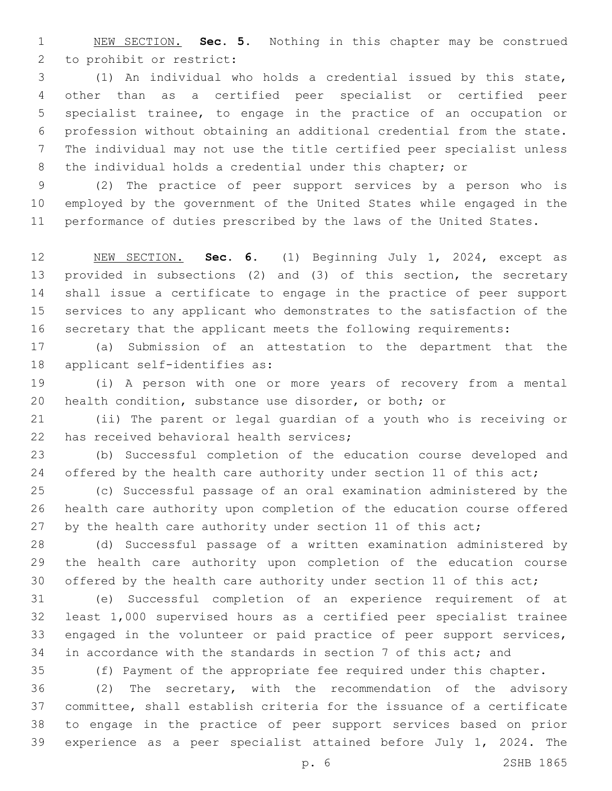NEW SECTION. **Sec. 5.** Nothing in this chapter may be construed to prohibit or restrict:

 (1) An individual who holds a credential issued by this state, other than as a certified peer specialist or certified peer specialist trainee, to engage in the practice of an occupation or profession without obtaining an additional credential from the state. The individual may not use the title certified peer specialist unless the individual holds a credential under this chapter; or

 (2) The practice of peer support services by a person who is employed by the government of the United States while engaged in the performance of duties prescribed by the laws of the United States.

 NEW SECTION. **Sec. 6.** (1) Beginning July 1, 2024, except as provided in subsections (2) and (3) of this section, the secretary shall issue a certificate to engage in the practice of peer support services to any applicant who demonstrates to the satisfaction of the secretary that the applicant meets the following requirements:

 (a) Submission of an attestation to the department that the 18 applicant self-identifies as:

 (i) A person with one or more years of recovery from a mental health condition, substance use disorder, or both; or

 (ii) The parent or legal guardian of a youth who is receiving or 22 has received behavioral health services;

 (b) Successful completion of the education course developed and 24 offered by the health care authority under section 11 of this act;

 (c) Successful passage of an oral examination administered by the health care authority upon completion of the education course offered 27 by the health care authority under section 11 of this act;

 (d) Successful passage of a written examination administered by the health care authority upon completion of the education course 30 offered by the health care authority under section 11 of this act;

 (e) Successful completion of an experience requirement of at least 1,000 supervised hours as a certified peer specialist trainee engaged in the volunteer or paid practice of peer support services, in accordance with the standards in section 7 of this act; and

(f) Payment of the appropriate fee required under this chapter.

 (2) The secretary, with the recommendation of the advisory committee, shall establish criteria for the issuance of a certificate to engage in the practice of peer support services based on prior experience as a peer specialist attained before July 1, 2024. The

p. 6 2SHB 1865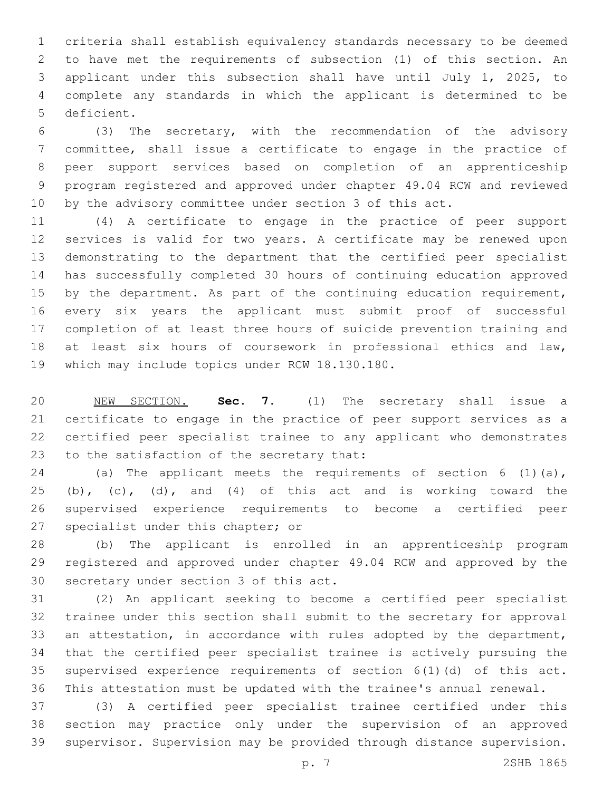criteria shall establish equivalency standards necessary to be deemed to have met the requirements of subsection (1) of this section. An applicant under this subsection shall have until July 1, 2025, to complete any standards in which the applicant is determined to be 5 deficient.

 (3) The secretary, with the recommendation of the advisory committee, shall issue a certificate to engage in the practice of peer support services based on completion of an apprenticeship program registered and approved under chapter 49.04 RCW and reviewed by the advisory committee under section 3 of this act.

 (4) A certificate to engage in the practice of peer support services is valid for two years. A certificate may be renewed upon demonstrating to the department that the certified peer specialist has successfully completed 30 hours of continuing education approved 15 by the department. As part of the continuing education requirement, every six years the applicant must submit proof of successful completion of at least three hours of suicide prevention training and at least six hours of coursework in professional ethics and law, 19 which may include topics under RCW 18.130.180.

 NEW SECTION. **Sec. 7.** (1) The secretary shall issue a certificate to engage in the practice of peer support services as a certified peer specialist trainee to any applicant who demonstrates to the satisfaction of the secretary that:

 (a) The applicant meets the requirements of section 6 (1)(a), 25 (b), (c), (d), and (4) of this act and is working toward the supervised experience requirements to become a certified peer 27 specialist under this chapter; or

 (b) The applicant is enrolled in an apprenticeship program registered and approved under chapter 49.04 RCW and approved by the 30 secretary under section 3 of this act.

 (2) An applicant seeking to become a certified peer specialist trainee under this section shall submit to the secretary for approval an attestation, in accordance with rules adopted by the department, that the certified peer specialist trainee is actively pursuing the supervised experience requirements of section 6(1)(d) of this act. This attestation must be updated with the trainee's annual renewal.

 (3) A certified peer specialist trainee certified under this section may practice only under the supervision of an approved supervisor. Supervision may be provided through distance supervision.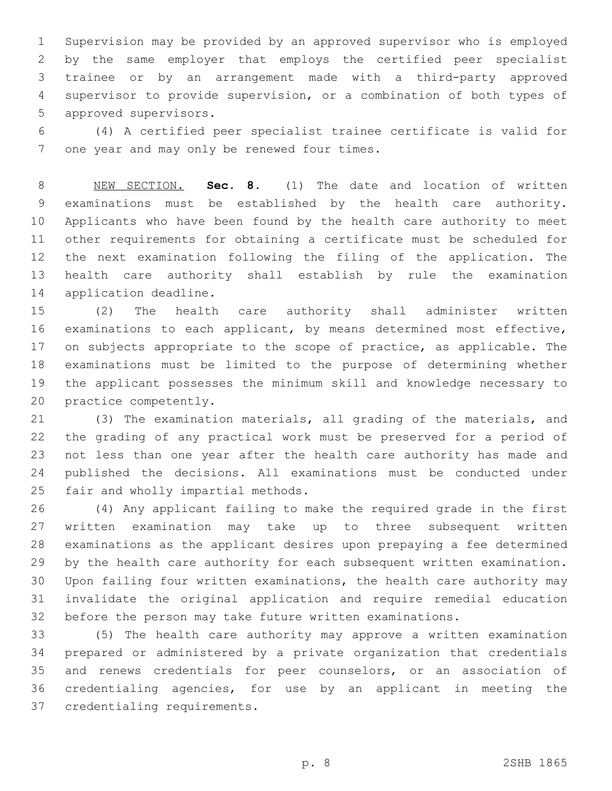Supervision may be provided by an approved supervisor who is employed by the same employer that employs the certified peer specialist trainee or by an arrangement made with a third-party approved supervisor to provide supervision, or a combination of both types of 5 approved supervisors.

 (4) A certified peer specialist trainee certificate is valid for 7 one year and may only be renewed four times.

 NEW SECTION. **Sec. 8.** (1) The date and location of written examinations must be established by the health care authority. Applicants who have been found by the health care authority to meet other requirements for obtaining a certificate must be scheduled for the next examination following the filing of the application. The health care authority shall establish by rule the examination application deadline.

 (2) The health care authority shall administer written examinations to each applicant, by means determined most effective, 17 on subjects appropriate to the scope of practice, as applicable. The examinations must be limited to the purpose of determining whether the applicant possesses the minimum skill and knowledge necessary to 20 practice competently.

 (3) The examination materials, all grading of the materials, and the grading of any practical work must be preserved for a period of not less than one year after the health care authority has made and published the decisions. All examinations must be conducted under 25 fair and wholly impartial methods.

 (4) Any applicant failing to make the required grade in the first written examination may take up to three subsequent written examinations as the applicant desires upon prepaying a fee determined by the health care authority for each subsequent written examination. Upon failing four written examinations, the health care authority may invalidate the original application and require remedial education before the person may take future written examinations.

 (5) The health care authority may approve a written examination prepared or administered by a private organization that credentials and renews credentials for peer counselors, or an association of credentialing agencies, for use by an applicant in meeting the 37 credentialing requirements.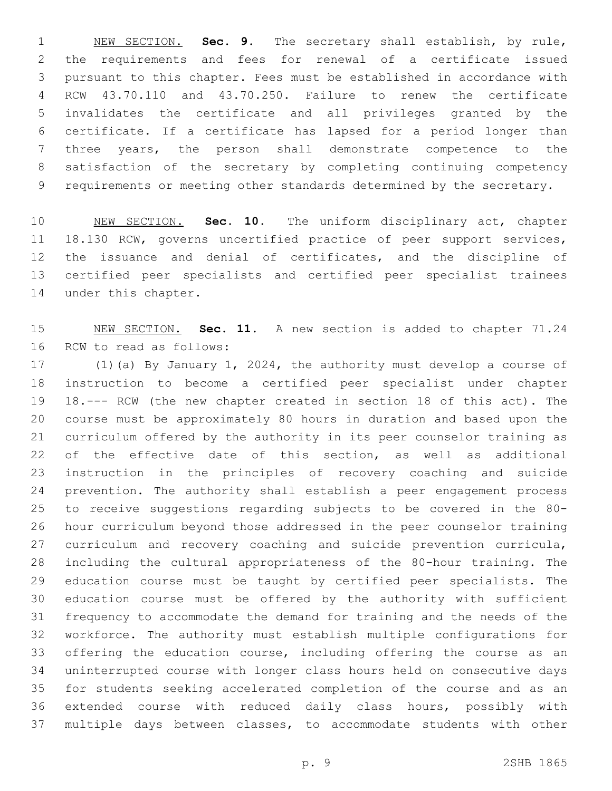NEW SECTION. **Sec. 9.** The secretary shall establish, by rule, the requirements and fees for renewal of a certificate issued pursuant to this chapter. Fees must be established in accordance with RCW 43.70.110 and 43.70.250. Failure to renew the certificate invalidates the certificate and all privileges granted by the certificate. If a certificate has lapsed for a period longer than three years, the person shall demonstrate competence to the satisfaction of the secretary by completing continuing competency requirements or meeting other standards determined by the secretary.

 NEW SECTION. **Sec. 10.** The uniform disciplinary act, chapter 18.130 RCW, governs uncertified practice of peer support services, the issuance and denial of certificates, and the discipline of certified peer specialists and certified peer specialist trainees under this chapter.

 NEW SECTION. **Sec. 11.** A new section is added to chapter 71.24 16 RCW to read as follows:

 (1)(a) By January 1, 2024, the authority must develop a course of instruction to become a certified peer specialist under chapter 18.--- RCW (the new chapter created in section 18 of this act). The course must be approximately 80 hours in duration and based upon the curriculum offered by the authority in its peer counselor training as of the effective date of this section, as well as additional instruction in the principles of recovery coaching and suicide prevention. The authority shall establish a peer engagement process to receive suggestions regarding subjects to be covered in the 80- hour curriculum beyond those addressed in the peer counselor training curriculum and recovery coaching and suicide prevention curricula, including the cultural appropriateness of the 80-hour training. The education course must be taught by certified peer specialists. The education course must be offered by the authority with sufficient frequency to accommodate the demand for training and the needs of the workforce. The authority must establish multiple configurations for 33 offering the education course, including offering the course as an uninterrupted course with longer class hours held on consecutive days for students seeking accelerated completion of the course and as an extended course with reduced daily class hours, possibly with multiple days between classes, to accommodate students with other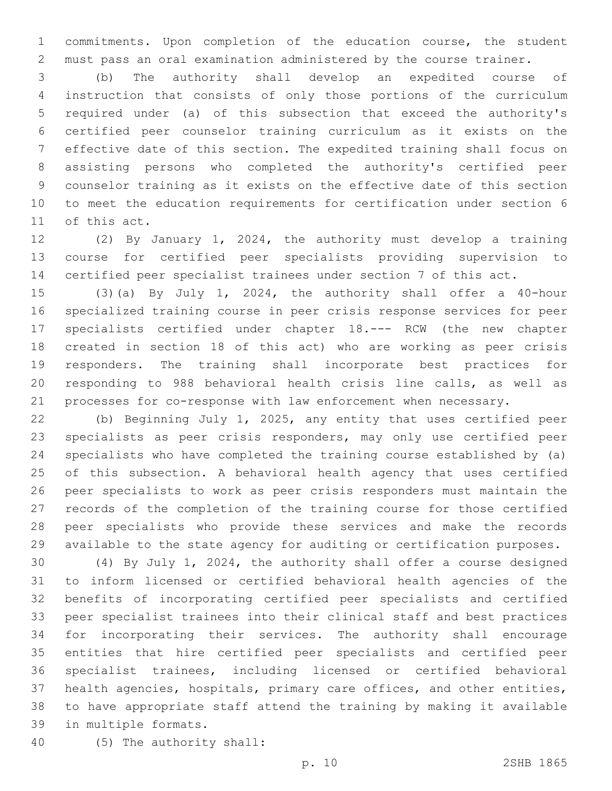commitments. Upon completion of the education course, the student must pass an oral examination administered by the course trainer.

 (b) The authority shall develop an expedited course of instruction that consists of only those portions of the curriculum required under (a) of this subsection that exceed the authority's certified peer counselor training curriculum as it exists on the effective date of this section. The expedited training shall focus on assisting persons who completed the authority's certified peer counselor training as it exists on the effective date of this section to meet the education requirements for certification under section 6 11 of this act.

 (2) By January 1, 2024, the authority must develop a training course for certified peer specialists providing supervision to certified peer specialist trainees under section 7 of this act.

 (3)(a) By July 1, 2024, the authority shall offer a 40-hour specialized training course in peer crisis response services for peer specialists certified under chapter 18.--- RCW (the new chapter created in section 18 of this act) who are working as peer crisis responders. The training shall incorporate best practices for responding to 988 behavioral health crisis line calls, as well as processes for co-response with law enforcement when necessary.

 (b) Beginning July 1, 2025, any entity that uses certified peer specialists as peer crisis responders, may only use certified peer specialists who have completed the training course established by (a) of this subsection. A behavioral health agency that uses certified peer specialists to work as peer crisis responders must maintain the records of the completion of the training course for those certified peer specialists who provide these services and make the records available to the state agency for auditing or certification purposes.

 (4) By July 1, 2024, the authority shall offer a course designed to inform licensed or certified behavioral health agencies of the benefits of incorporating certified peer specialists and certified peer specialist trainees into their clinical staff and best practices for incorporating their services. The authority shall encourage entities that hire certified peer specialists and certified peer specialist trainees, including licensed or certified behavioral health agencies, hospitals, primary care offices, and other entities, to have appropriate staff attend the training by making it available 39 in multiple formats.

(5) The authority shall:40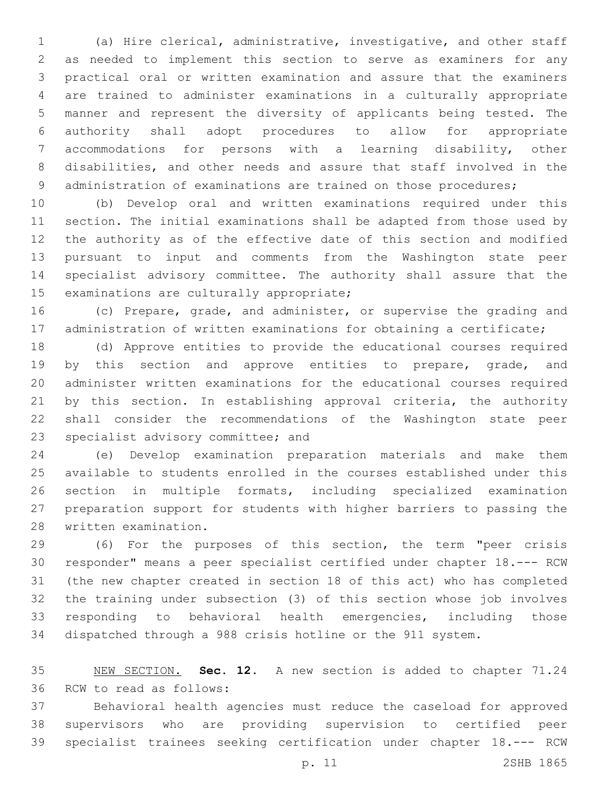(a) Hire clerical, administrative, investigative, and other staff as needed to implement this section to serve as examiners for any practical oral or written examination and assure that the examiners are trained to administer examinations in a culturally appropriate manner and represent the diversity of applicants being tested. The authority shall adopt procedures to allow for appropriate accommodations for persons with a learning disability, other disabilities, and other needs and assure that staff involved in the 9 administration of examinations are trained on those procedures;

 (b) Develop oral and written examinations required under this section. The initial examinations shall be adapted from those used by the authority as of the effective date of this section and modified pursuant to input and comments from the Washington state peer specialist advisory committee. The authority shall assure that the 15 examinations are culturally appropriate;

 (c) Prepare, grade, and administer, or supervise the grading and administration of written examinations for obtaining a certificate;

 (d) Approve entities to provide the educational courses required 19 by this section and approve entities to prepare, grade, and administer written examinations for the educational courses required by this section. In establishing approval criteria, the authority shall consider the recommendations of the Washington state peer 23 specialist advisory committee; and

 (e) Develop examination preparation materials and make them available to students enrolled in the courses established under this section in multiple formats, including specialized examination preparation support for students with higher barriers to passing the 28 written examination.

 (6) For the purposes of this section, the term "peer crisis responder" means a peer specialist certified under chapter 18.--- RCW (the new chapter created in section 18 of this act) who has completed the training under subsection (3) of this section whose job involves responding to behavioral health emergencies, including those dispatched through a 988 crisis hotline or the 911 system.

 NEW SECTION. **Sec. 12.** A new section is added to chapter 71.24 36 RCW to read as follows:

 Behavioral health agencies must reduce the caseload for approved supervisors who are providing supervision to certified peer specialist trainees seeking certification under chapter 18.--- RCW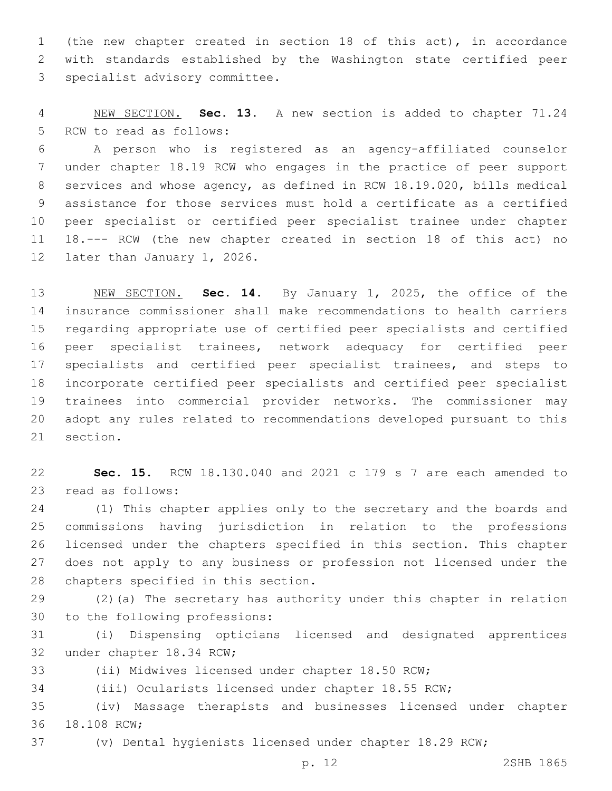(the new chapter created in section 18 of this act), in accordance with standards established by the Washington state certified peer 3 specialist advisory committee.

 NEW SECTION. **Sec. 13.** A new section is added to chapter 71.24 5 RCW to read as follows:

 A person who is registered as an agency-affiliated counselor under chapter 18.19 RCW who engages in the practice of peer support services and whose agency, as defined in RCW 18.19.020, bills medical assistance for those services must hold a certificate as a certified peer specialist or certified peer specialist trainee under chapter 18.--- RCW (the new chapter created in section 18 of this act) no 12 later than January 1, 2026.

 NEW SECTION. **Sec. 14.** By January 1, 2025, the office of the insurance commissioner shall make recommendations to health carriers regarding appropriate use of certified peer specialists and certified peer specialist trainees, network adequacy for certified peer specialists and certified peer specialist trainees, and steps to incorporate certified peer specialists and certified peer specialist trainees into commercial provider networks. The commissioner may adopt any rules related to recommendations developed pursuant to this section.

 **Sec. 15.** RCW 18.130.040 and 2021 c 179 s 7 are each amended to 23 read as follows:

 (1) This chapter applies only to the secretary and the boards and commissions having jurisdiction in relation to the professions licensed under the chapters specified in this section. This chapter does not apply to any business or profession not licensed under the 28 chapters specified in this section.

 (2)(a) The secretary has authority under this chapter in relation 30 to the following professions:

 (i) Dispensing opticians licensed and designated apprentices 32 under chapter 18.34 RCW;

(ii) Midwives licensed under chapter 18.50 RCW;

(iii) Ocularists licensed under chapter 18.55 RCW;

 (iv) Massage therapists and businesses licensed under chapter 36 18.108 RCW;

(v) Dental hygienists licensed under chapter 18.29 RCW;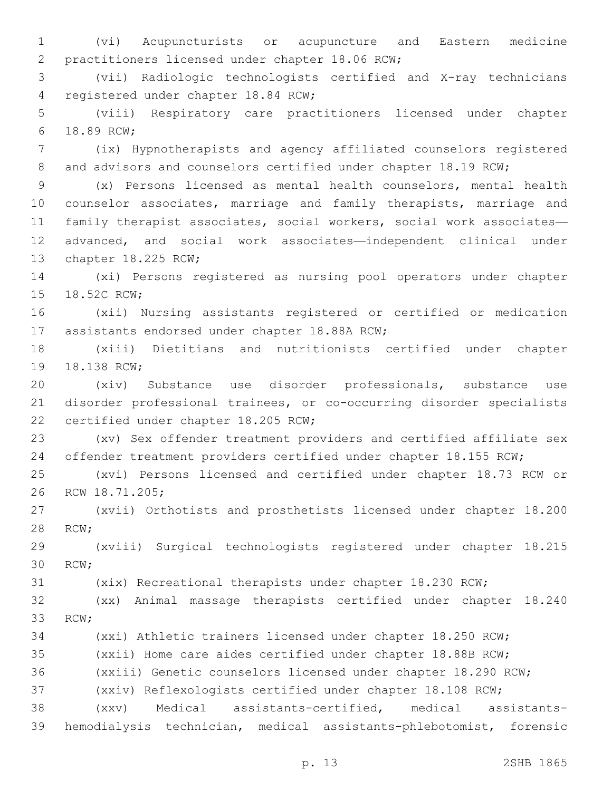(vi) Acupuncturists or acupuncture and Eastern medicine 2 practitioners licensed under chapter 18.06 RCW;

 (vii) Radiologic technologists certified and X-ray technicians 4 registered under chapter 18.84 RCW;

 (viii) Respiratory care practitioners licensed under chapter 18.89 RCW;6

 (ix) Hypnotherapists and agency affiliated counselors registered 8 and advisors and counselors certified under chapter 18.19 RCW;

 (x) Persons licensed as mental health counselors, mental health counselor associates, marriage and family therapists, marriage and family therapist associates, social workers, social work associates— advanced, and social work associates—independent clinical under 13 chapter 18.225 RCW;

 (xi) Persons registered as nursing pool operators under chapter 15 18.52C RCW;

 (xii) Nursing assistants registered or certified or medication 17 assistants endorsed under chapter 18.88A RCW;

 (xiii) Dietitians and nutritionists certified under chapter 19 18.138 RCW:

 (xiv) Substance use disorder professionals, substance use disorder professional trainees, or co-occurring disorder specialists 22 certified under chapter 18.205 RCW;

 (xv) Sex offender treatment providers and certified affiliate sex offender treatment providers certified under chapter 18.155 RCW;

 (xvi) Persons licensed and certified under chapter 18.73 RCW or 26 RCW 18.71.205;

 (xvii) Orthotists and prosthetists licensed under chapter 18.200 28 RCW;

 (xviii) Surgical technologists registered under chapter 18.215 30 RCW:

(xix) Recreational therapists under chapter 18.230 RCW;

 (xx) Animal massage therapists certified under chapter 18.240 33 RCW:

(xxi) Athletic trainers licensed under chapter 18.250 RCW;

(xxii) Home care aides certified under chapter 18.88B RCW;

(xxiii) Genetic counselors licensed under chapter 18.290 RCW;

(xxiv) Reflexologists certified under chapter 18.108 RCW;

 (xxv) Medical assistants-certified, medical assistants-hemodialysis technician, medical assistants-phlebotomist, forensic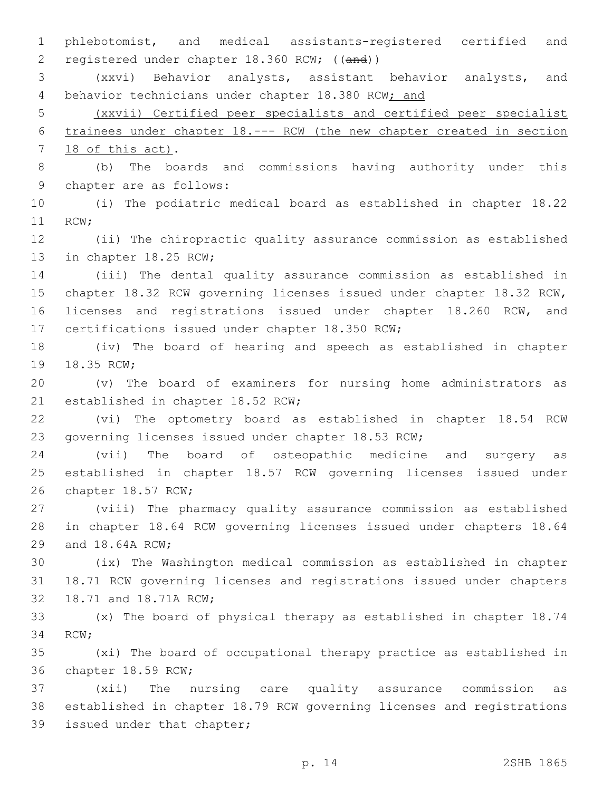phlebotomist, and medical assistants-registered certified and registered under chapter 18.360 RCW; ((and))

 (xxvi) Behavior analysts, assistant behavior analysts, and 4 behavior technicians under chapter 18.380 RCW; and

 (xxvii) Certified peer specialists and certified peer specialist trainees under chapter 18.--- RCW (the new chapter created in section 7 18 of this act).

 (b) The boards and commissions having authority under this 9 chapter are as follows:

 (i) The podiatric medical board as established in chapter 18.22 11 RCW;

 (ii) The chiropractic quality assurance commission as established 13 in chapter 18.25 RCW;

 (iii) The dental quality assurance commission as established in chapter 18.32 RCW governing licenses issued under chapter 18.32 RCW, licenses and registrations issued under chapter 18.260 RCW, and 17 certifications issued under chapter 18.350 RCW;

 (iv) The board of hearing and speech as established in chapter 19 18.35 RCW;

 (v) The board of examiners for nursing home administrators as 21 established in chapter 18.52 RCW;

 (vi) The optometry board as established in chapter 18.54 RCW governing licenses issued under chapter 18.53 RCW;

 (vii) The board of osteopathic medicine and surgery as established in chapter 18.57 RCW governing licenses issued under 26 chapter 18.57 RCW;

 (viii) The pharmacy quality assurance commission as established in chapter 18.64 RCW governing licenses issued under chapters 18.64 29 and 18.64A RCW;

 (ix) The Washington medical commission as established in chapter 18.71 RCW governing licenses and registrations issued under chapters 32 18.71 and 18.71A RCW;

 (x) The board of physical therapy as established in chapter 18.74 34 RCW;

 (xi) The board of occupational therapy practice as established in 36 chapter 18.59 RCW;

 (xii) The nursing care quality assurance commission as established in chapter 18.79 RCW governing licenses and registrations 39 issued under that chapter;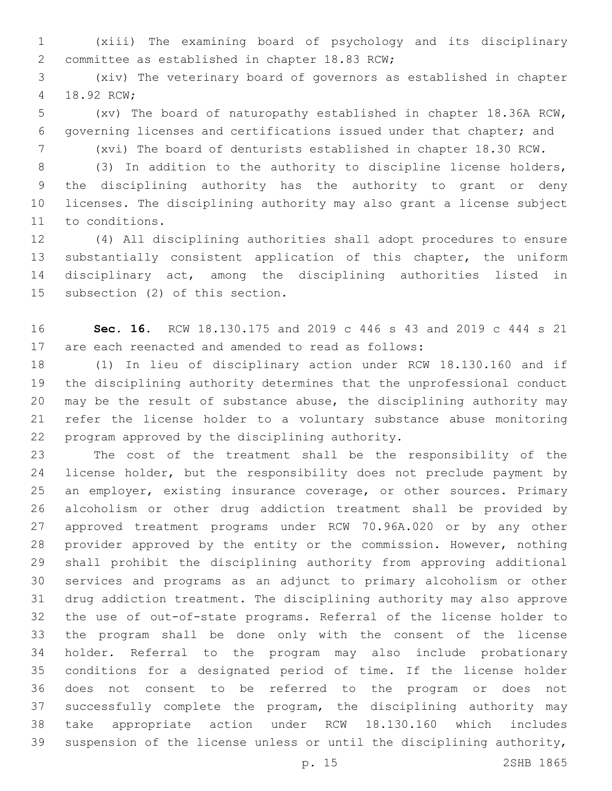(xiii) The examining board of psychology and its disciplinary 2 committee as established in chapter 18.83 RCW;

 (xiv) The veterinary board of governors as established in chapter 18.92 RCW;4

 (xv) The board of naturopathy established in chapter 18.36A RCW, governing licenses and certifications issued under that chapter; and (xvi) The board of denturists established in chapter 18.30 RCW.

 (3) In addition to the authority to discipline license holders, the disciplining authority has the authority to grant or deny licenses. The disciplining authority may also grant a license subject 11 to conditions.

 (4) All disciplining authorities shall adopt procedures to ensure substantially consistent application of this chapter, the uniform disciplinary act, among the disciplining authorities listed in 15 subsection (2) of this section.

 **Sec. 16.** RCW 18.130.175 and 2019 c 446 s 43 and 2019 c 444 s 21 are each reenacted and amended to read as follows:

 (1) In lieu of disciplinary action under RCW 18.130.160 and if the disciplining authority determines that the unprofessional conduct may be the result of substance abuse, the disciplining authority may refer the license holder to a voluntary substance abuse monitoring 22 program approved by the disciplining authority.

 The cost of the treatment shall be the responsibility of the license holder, but the responsibility does not preclude payment by an employer, existing insurance coverage, or other sources. Primary alcoholism or other drug addiction treatment shall be provided by approved treatment programs under RCW 70.96A.020 or by any other provider approved by the entity or the commission. However, nothing shall prohibit the disciplining authority from approving additional services and programs as an adjunct to primary alcoholism or other drug addiction treatment. The disciplining authority may also approve the use of out-of-state programs. Referral of the license holder to the program shall be done only with the consent of the license holder. Referral to the program may also include probationary conditions for a designated period of time. If the license holder does not consent to be referred to the program or does not successfully complete the program, the disciplining authority may take appropriate action under RCW 18.130.160 which includes suspension of the license unless or until the disciplining authority,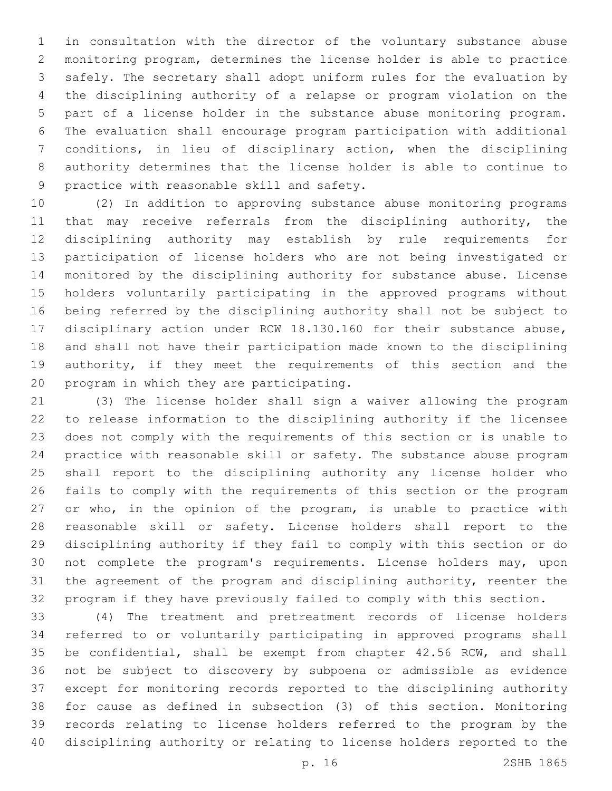in consultation with the director of the voluntary substance abuse monitoring program, determines the license holder is able to practice safely. The secretary shall adopt uniform rules for the evaluation by the disciplining authority of a relapse or program violation on the part of a license holder in the substance abuse monitoring program. The evaluation shall encourage program participation with additional conditions, in lieu of disciplinary action, when the disciplining authority determines that the license holder is able to continue to 9 practice with reasonable skill and safety.

 (2) In addition to approving substance abuse monitoring programs 11 that may receive referrals from the disciplining authority, the disciplining authority may establish by rule requirements for participation of license holders who are not being investigated or monitored by the disciplining authority for substance abuse. License holders voluntarily participating in the approved programs without being referred by the disciplining authority shall not be subject to disciplinary action under RCW 18.130.160 for their substance abuse, and shall not have their participation made known to the disciplining 19 authority, if they meet the requirements of this section and the 20 program in which they are participating.

 (3) The license holder shall sign a waiver allowing the program to release information to the disciplining authority if the licensee does not comply with the requirements of this section or is unable to practice with reasonable skill or safety. The substance abuse program shall report to the disciplining authority any license holder who fails to comply with the requirements of this section or the program 27 or who, in the opinion of the program, is unable to practice with reasonable skill or safety. License holders shall report to the disciplining authority if they fail to comply with this section or do not complete the program's requirements. License holders may, upon the agreement of the program and disciplining authority, reenter the program if they have previously failed to comply with this section.

 (4) The treatment and pretreatment records of license holders referred to or voluntarily participating in approved programs shall be confidential, shall be exempt from chapter 42.56 RCW, and shall not be subject to discovery by subpoena or admissible as evidence except for monitoring records reported to the disciplining authority for cause as defined in subsection (3) of this section. Monitoring records relating to license holders referred to the program by the disciplining authority or relating to license holders reported to the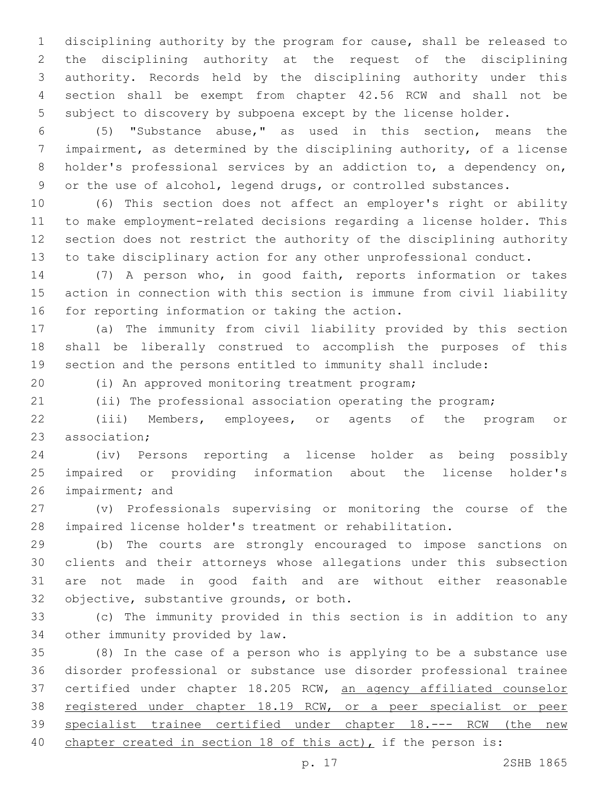disciplining authority by the program for cause, shall be released to the disciplining authority at the request of the disciplining authority. Records held by the disciplining authority under this section shall be exempt from chapter 42.56 RCW and shall not be subject to discovery by subpoena except by the license holder.

 (5) "Substance abuse," as used in this section, means the impairment, as determined by the disciplining authority, of a license 8 holder's professional services by an addiction to, a dependency on, or the use of alcohol, legend drugs, or controlled substances.

 (6) This section does not affect an employer's right or ability to make employment-related decisions regarding a license holder. This section does not restrict the authority of the disciplining authority to take disciplinary action for any other unprofessional conduct.

 (7) A person who, in good faith, reports information or takes action in connection with this section is immune from civil liability 16 for reporting information or taking the action.

 (a) The immunity from civil liability provided by this section shall be liberally construed to accomplish the purposes of this section and the persons entitled to immunity shall include:

(i) An approved monitoring treatment program;20

(ii) The professional association operating the program;

 (iii) Members, employees, or agents of the program or 23 association:

 (iv) Persons reporting a license holder as being possibly impaired or providing information about the license holder's 26 impairment; and

 (v) Professionals supervising or monitoring the course of the impaired license holder's treatment or rehabilitation.

 (b) The courts are strongly encouraged to impose sanctions on clients and their attorneys whose allegations under this subsection are not made in good faith and are without either reasonable 32 objective, substantive grounds, or both.

 (c) The immunity provided in this section is in addition to any 34 other immunity provided by law.

 (8) In the case of a person who is applying to be a substance use disorder professional or substance use disorder professional trainee certified under chapter 18.205 RCW, an agency affiliated counselor registered under chapter 18.19 RCW, or a peer specialist or peer specialist trainee certified under chapter 18.--- RCW (the new 40 chapter created in section 18 of this act), if the person is: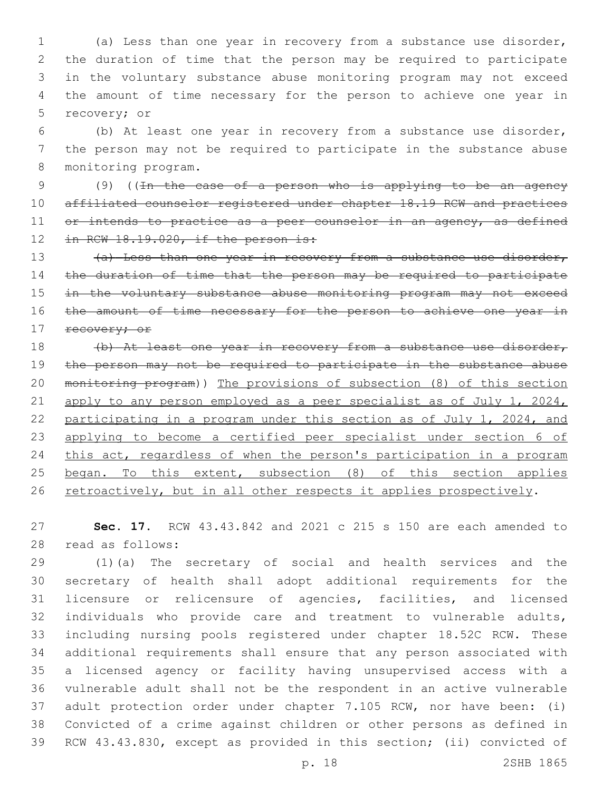(a) Less than one year in recovery from a substance use disorder, the duration of time that the person may be required to participate in the voluntary substance abuse monitoring program may not exceed the amount of time necessary for the person to achieve one year in 5 recovery; or

 (b) At least one year in recovery from a substance use disorder, the person may not be required to participate in the substance abuse 8 monitoring program.

 (9) ((In the case of a person who is applying to be an agency 10 affiliated counselor registered under chapter 18.19 RCW and practices 11 or intends to practice as a peer counselor in an agency, as defined 12 in RCW 18.19.020, if the person is:

13 (a) Less than one year in recovery from a substance use disorder, the duration of time that the person may be required to participate 15 in the voluntary substance abuse monitoring program may not exceed 16 the amount of time necessary for the person to achieve one year in 17 recovery; or

18 (b) At least one year in recovery from a substance use disorder, the person may not be required to participate in the substance abuse monitoring program)) The provisions of subsection (8) of this section apply to any person employed as a peer specialist as of July 1, 2024, participating in a program under this section as of July 1, 2024, and applying to become a certified peer specialist under section 6 of this act, regardless of when the person's participation in a program began. To this extent, subsection (8) of this section applies 26 retroactively, but in all other respects it applies prospectively.

 **Sec. 17.** RCW 43.43.842 and 2021 c 215 s 150 are each amended to 28 read as follows:

 (1)(a) The secretary of social and health services and the secretary of health shall adopt additional requirements for the licensure or relicensure of agencies, facilities, and licensed individuals who provide care and treatment to vulnerable adults, including nursing pools registered under chapter 18.52C RCW. These additional requirements shall ensure that any person associated with a licensed agency or facility having unsupervised access with a vulnerable adult shall not be the respondent in an active vulnerable adult protection order under chapter 7.105 RCW, nor have been: (i) Convicted of a crime against children or other persons as defined in RCW 43.43.830, except as provided in this section; (ii) convicted of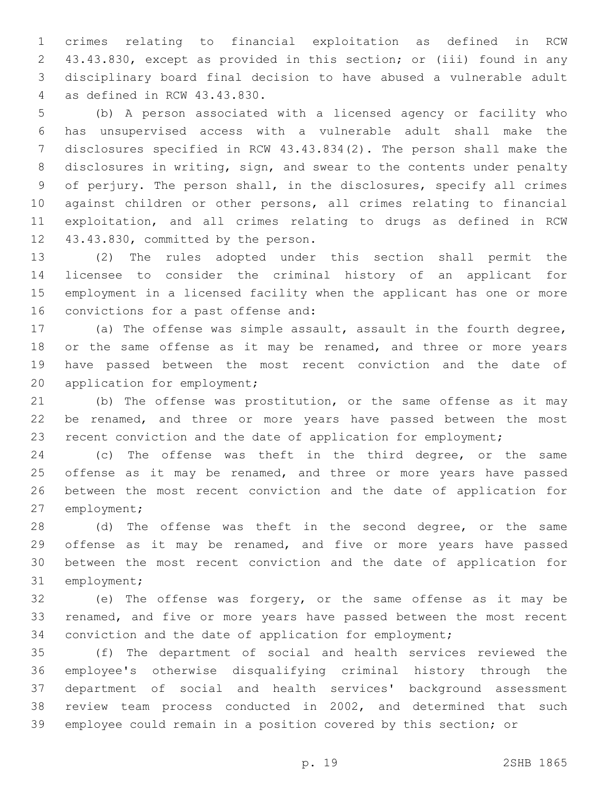crimes relating to financial exploitation as defined in RCW 43.43.830, except as provided in this section; or (iii) found in any disciplinary board final decision to have abused a vulnerable adult as defined in RCW 43.43.830.4

 (b) A person associated with a licensed agency or facility who has unsupervised access with a vulnerable adult shall make the disclosures specified in RCW 43.43.834(2). The person shall make the disclosures in writing, sign, and swear to the contents under penalty of perjury. The person shall, in the disclosures, specify all crimes against children or other persons, all crimes relating to financial exploitation, and all crimes relating to drugs as defined in RCW 12 43.43.830, committed by the person.

 (2) The rules adopted under this section shall permit the licensee to consider the criminal history of an applicant for employment in a licensed facility when the applicant has one or more 16 convictions for a past offense and:

 (a) The offense was simple assault, assault in the fourth degree, 18 or the same offense as it may be renamed, and three or more years have passed between the most recent conviction and the date of 20 application for employment;

 (b) The offense was prostitution, or the same offense as it may be renamed, and three or more years have passed between the most recent conviction and the date of application for employment;

 (c) The offense was theft in the third degree, or the same 25 offense as it may be renamed, and three or more years have passed between the most recent conviction and the date of application for 27 employment;

28 (d) The offense was theft in the second degree, or the same 29 offense as it may be renamed, and five or more years have passed between the most recent conviction and the date of application for 31 employment;

 (e) The offense was forgery, or the same offense as it may be renamed, and five or more years have passed between the most recent conviction and the date of application for employment;

 (f) The department of social and health services reviewed the employee's otherwise disqualifying criminal history through the department of social and health services' background assessment review team process conducted in 2002, and determined that such employee could remain in a position covered by this section; or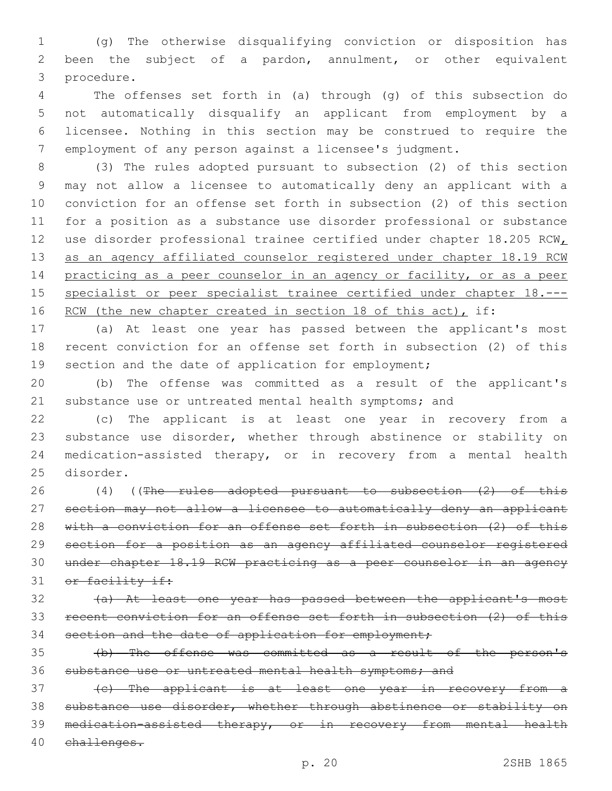(g) The otherwise disqualifying conviction or disposition has been the subject of a pardon, annulment, or other equivalent procedure.3

 The offenses set forth in (a) through (g) of this subsection do not automatically disqualify an applicant from employment by a licensee. Nothing in this section may be construed to require the employment of any person against a licensee's judgment.

 (3) The rules adopted pursuant to subsection (2) of this section may not allow a licensee to automatically deny an applicant with a conviction for an offense set forth in subsection (2) of this section for a position as a substance use disorder professional or substance 12 use disorder professional trainee certified under chapter 18.205 RCWL 13 as an agency affiliated counselor registered under chapter 18.19 RCM practicing as a peer counselor in an agency or facility, or as a peer 15 specialist or peer specialist trainee certified under chapter 18.---16 RCW (the new chapter created in section 18 of this act), if:

 (a) At least one year has passed between the applicant's most recent conviction for an offense set forth in subsection (2) of this 19 section and the date of application for employment;

 (b) The offense was committed as a result of the applicant's 21 substance use or untreated mental health symptoms; and

 (c) The applicant is at least one year in recovery from a substance use disorder, whether through abstinence or stability on medication-assisted therapy, or in recovery from a mental health 25 disorder.

26 (4) ((The rules adopted pursuant to subsection (2) of this section may not allow a licensee to automatically deny an applicant with a conviction for an offense set forth in subsection (2) of this section for a position as an agency affiliated counselor registered under chapter 18.19 RCW practicing as a peer counselor in an agency 31 or facility if:

 (a) At least one year has passed between the applicant's most recent conviction for an offense set forth in subsection (2) of this 34 section and the date of application for employment;

 (b) The offense was committed as a result of the person's 36 substance use or untreated mental health symptoms; and

 (c) The applicant is at least one year in recovery from a substance use disorder, whether through abstinence or stability on medication-assisted therapy, or in recovery from mental health challenges.